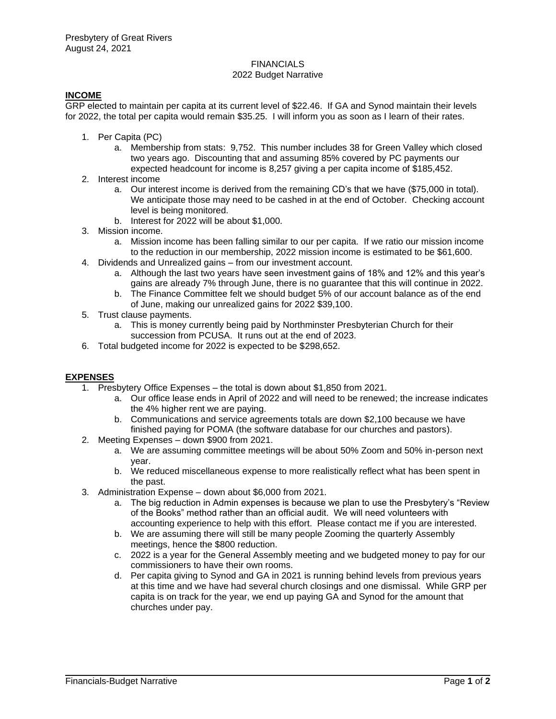# **FINANCIALS**

# 2022 Budget Narrative

## **INCOME**

GRP elected to maintain per capita at its current level of \$22.46. If GA and Synod maintain their levels for 2022, the total per capita would remain \$35.25. I will inform you as soon as I learn of their rates.

- 1. Per Capita (PC)
	- a. Membership from stats: 9,752. This number includes 38 for Green Valley which closed two years ago. Discounting that and assuming 85% covered by PC payments our expected headcount for income is 8,257 giving a per capita income of \$185,452.
- 2. Interest income
	- a. Our interest income is derived from the remaining CD's that we have (\$75,000 in total). We anticipate those may need to be cashed in at the end of October. Checking account level is being monitored.
	- b. Interest for 2022 will be about \$1,000.
- 3. Mission income.
	- a. Mission income has been falling similar to our per capita. If we ratio our mission income to the reduction in our membership, 2022 mission income is estimated to be \$61,600.
- 4. Dividends and Unrealized gains from our investment account.
	- a. Although the last two years have seen investment gains of 18% and 12% and this year's gains are already 7% through June, there is no guarantee that this will continue in 2022.
	- b. The Finance Committee felt we should budget 5% of our account balance as of the end of June, making our unrealized gains for 2022 \$39,100.
- 5. Trust clause payments.
	- a. This is money currently being paid by Northminster Presbyterian Church for their succession from PCUSA. It runs out at the end of 2023.
- 6. Total budgeted income for 2022 is expected to be \$298,652.

## **EXPENSES**

- 1. Presbytery Office Expenses the total is down about \$1,850 from 2021.
	- a. Our office lease ends in April of 2022 and will need to be renewed; the increase indicates the 4% higher rent we are paying.
	- b. Communications and service agreements totals are down \$2,100 because we have finished paying for POMA (the software database for our churches and pastors).
- 2. Meeting Expenses down \$900 from 2021.
	- a. We are assuming committee meetings will be about 50% Zoom and 50% in-person next year.
	- b. We reduced miscellaneous expense to more realistically reflect what has been spent in the past.
- 3. Administration Expense down about \$6,000 from 2021.
	- a. The big reduction in Admin expenses is because we plan to use the Presbytery's "Review of the Books" method rather than an official audit. We will need volunteers with accounting experience to help with this effort. Please contact me if you are interested.
	- b. We are assuming there will still be many people Zooming the quarterly Assembly meetings, hence the \$800 reduction.
	- c. 2022 is a year for the General Assembly meeting and we budgeted money to pay for our commissioners to have their own rooms.
	- d. Per capita giving to Synod and GA in 2021 is running behind levels from previous years at this time and we have had several church closings and one dismissal. While GRP per capita is on track for the year, we end up paying GA and Synod for the amount that churches under pay.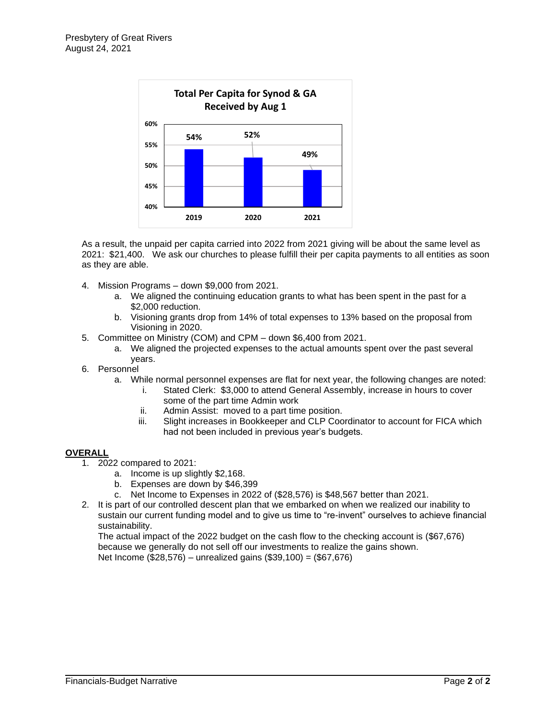

As a result, the unpaid per capita carried into 2022 from 2021 giving will be about the same level as 2021: \$21,400. We ask our churches to please fulfill their per capita payments to all entities as soon as they are able.

- 4. Mission Programs down \$9,000 from 2021.
	- a. We aligned the continuing education grants to what has been spent in the past for a \$2,000 reduction.
	- b. Visioning grants drop from 14% of total expenses to 13% based on the proposal from Visioning in 2020.
- 5. Committee on Ministry (COM) and CPM down \$6,400 from 2021.
	- a. We aligned the projected expenses to the actual amounts spent over the past several years.
- 6. Personnel
	- a. While normal personnel expenses are flat for next year, the following changes are noted:
		- i. Stated Clerk: \$3,000 to attend General Assembly, increase in hours to cover some of the part time Admin work
		- ii. Admin Assist: moved to a part time position.
		- iii. Slight increases in Bookkeeper and CLP Coordinator to account for FICA which had not been included in previous year's budgets.

#### **OVERALL**

- 1. 2022 compared to 2021:
	- a. Income is up slightly \$2,168.
	- b. Expenses are down by \$46,399
	- c. Net Income to Expenses in 2022 of (\$28,576) is \$48,567 better than 2021.
- 2. It is part of our controlled descent plan that we embarked on when we realized our inability to sustain our current funding model and to give us time to "re-invent" ourselves to achieve financial sustainability.

The actual impact of the 2022 budget on the cash flow to the checking account is (\$67,676) because we generally do not sell off our investments to realize the gains shown. Net Income (\$28,576) – unrealized gains (\$39,100) = (\$67,676)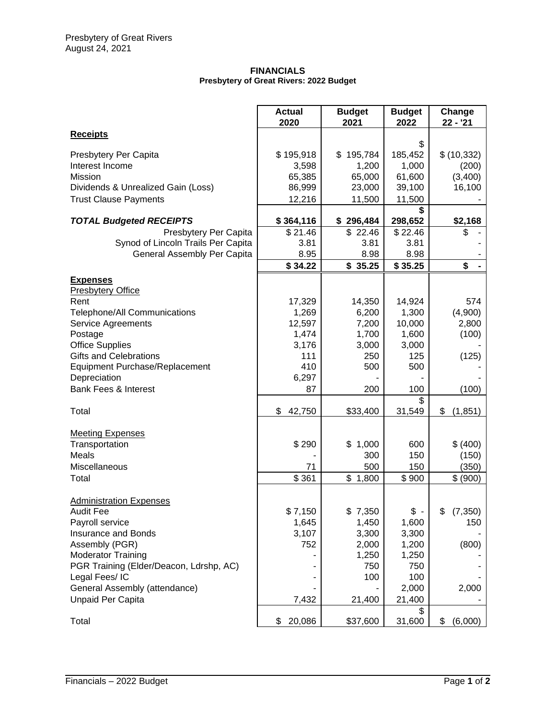#### **FINANCIALS Presbytery of Great Rivers: 2022 Budget**

|                                                                                            | <b>Actual</b><br>2020   | <b>Budget</b><br>2021   | <b>Budget</b><br>2022   | Change<br>$22 - 21$  |
|--------------------------------------------------------------------------------------------|-------------------------|-------------------------|-------------------------|----------------------|
| <b>Receipts</b>                                                                            |                         |                         |                         |                      |
| Presbytery Per Capita<br>Interest Income                                                   | \$195,918<br>3,598      | 195,784<br>\$<br>1,200  | \$<br>185,452<br>1,000  | \$(10, 332)<br>(200) |
| Mission<br>Dividends & Unrealized Gain (Loss)                                              | 65,385<br>86,999        | 65,000<br>23,000        | 61,600<br>39,100        | (3,400)<br>16,100    |
| <b>Trust Clause Payments</b>                                                               | 12,216                  | 11,500                  | 11,500<br>\$            |                      |
| <b>TOTAL Budgeted RECEIPTS</b>                                                             | \$364,116               | \$296,484               | 298,652                 | \$2,168              |
| Presbytery Per Capita<br>Synod of Lincoln Trails Per Capita<br>General Assembly Per Capita | \$21.46<br>3.81<br>8.95 | \$22.46<br>3.81<br>8.98 | \$22.46<br>3.81<br>8.98 | \$                   |
|                                                                                            | \$34.22                 | \$35.25                 | \$35.25                 | \$                   |
| <b>Expenses</b><br><b>Presbytery Office</b>                                                |                         |                         |                         |                      |
| Rent                                                                                       | 17,329                  | 14,350                  | 14,924                  | 574                  |
| <b>Telephone/All Communications</b><br>Service Agreements                                  | 1,269<br>12,597         | 6,200<br>7,200          | 1,300<br>10,000         | (4,900)<br>2,800     |
| Postage                                                                                    | 1,474                   | 1,700                   | 1,600                   | (100)                |
| <b>Office Supplies</b>                                                                     | 3,176                   | 3,000                   | 3,000                   |                      |
| <b>Gifts and Celebrations</b>                                                              | 111                     | 250                     | 125                     | (125)                |
| Equipment Purchase/Replacement                                                             | 410                     | 500                     | 500                     |                      |
| Depreciation<br><b>Bank Fees &amp; Interest</b>                                            | 6,297<br>87             | 200                     | 100                     | (100)                |
|                                                                                            |                         |                         | \$                      |                      |
| Total                                                                                      | \$<br>42,750            | \$33,400                | 31,549                  | \$<br>(1, 851)       |
| <b>Meeting Expenses</b><br>Transportation                                                  | \$290                   | \$1,000                 | 600                     | \$ (400)             |
| Meals                                                                                      |                         | 300                     | 150                     | (150)                |
| Miscellaneous                                                                              | 71                      | 500                     | 150                     | (350)                |
| Total                                                                                      | \$361                   | \$1,800                 | \$900                   | \$ (900)             |
| <b>Administration Expenses</b>                                                             |                         |                         |                         |                      |
| <b>Audit Fee</b>                                                                           | \$7,150                 | \$7,350                 | $\sqrt[6]{}$ -          | \$<br>(7, 350)       |
| Payroll service<br>Insurance and Bonds                                                     | 1,645<br>3,107          | 1,450<br>3,300          | 1,600<br>3,300          | 150                  |
| Assembly (PGR)                                                                             | 752                     | 2,000                   | 1,200                   | (800)                |
| <b>Moderator Training</b>                                                                  |                         | 1,250                   | 1,250                   |                      |
| PGR Training (Elder/Deacon, Ldrshp, AC)                                                    |                         | 750                     | 750                     |                      |
| Legal Fees/IC                                                                              |                         | 100                     | 100                     |                      |
| General Assembly (attendance)                                                              |                         |                         | 2,000                   | 2,000                |
| <b>Unpaid Per Capita</b>                                                                   | 7,432                   | 21,400                  | 21,400<br>\$            |                      |
| Total                                                                                      | 20,086<br>\$            | \$37,600                | 31,600                  | \$<br>(6,000)        |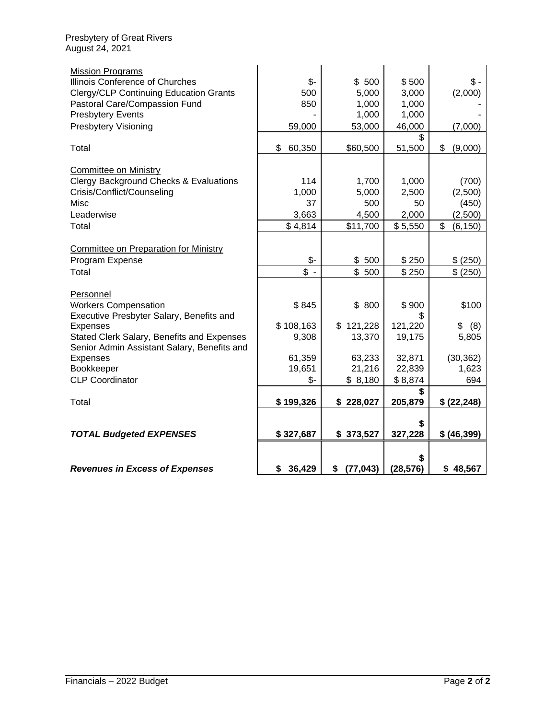| <b>Mission Programs</b>                                                           |                           |                 |           |                |
|-----------------------------------------------------------------------------------|---------------------------|-----------------|-----------|----------------|
| Illinois Conference of Churches                                                   | \$-                       | \$500           | \$500     | $\$\,$         |
| <b>Clergy/CLP Continuing Education Grants</b>                                     | 500                       | 5,000           | 3,000     | (2,000)        |
| Pastoral Care/Compassion Fund                                                     | 850                       | 1,000           | 1,000     |                |
| <b>Presbytery Events</b>                                                          |                           | 1,000           | 1,000     |                |
| <b>Presbytery Visioning</b>                                                       | 59,000                    | 53,000          | 46,000    | (7,000)        |
|                                                                                   |                           |                 | \$        |                |
| Total                                                                             | \$<br>60,350              | \$60,500        | 51,500    | \$<br>(9,000)  |
|                                                                                   |                           |                 |           |                |
| <b>Committee on Ministry</b><br><b>Clergy Background Checks &amp; Evaluations</b> | 114                       | 1,700           | 1,000     | (700)          |
| Crisis/Conflict/Counseling                                                        | 1,000                     | 5,000           | 2,500     | (2,500)        |
| <b>Misc</b>                                                                       | 37                        | 500             | 50        | (450)          |
| Leaderwise                                                                        | 3,663                     | 4,500           | 2,000     | (2,500)        |
| Total                                                                             | \$4,814                   | \$11,700        | \$5,550   | \$<br>(6, 150) |
|                                                                                   |                           |                 |           |                |
| <b>Committee on Preparation for Ministry</b>                                      |                           |                 |           |                |
| Program Expense                                                                   | $\mathcal{S}$ -           | \$500           | \$250     | \$ (250)       |
| Total                                                                             | $\overline{\mathbb{S}}$ - | \$500           | \$250     | \$ (250)       |
|                                                                                   |                           |                 |           |                |
| Personnel                                                                         |                           |                 |           |                |
| <b>Workers Compensation</b>                                                       | \$845                     | \$ 800          | \$900     | \$100          |
| Executive Presbyter Salary, Benefits and                                          |                           |                 |           |                |
| <b>Expenses</b>                                                                   | \$108,163                 | \$121,228       | 121,220   | \$<br>(8)      |
| Stated Clerk Salary, Benefits and Expenses                                        | 9,308                     | 13,370          | 19,175    | 5,805          |
| Senior Admin Assistant Salary, Benefits and<br><b>Expenses</b>                    | 61,359                    | 63,233          | 32,871    | (30, 362)      |
| Bookkeeper                                                                        | 19,651                    | 21,216          | 22,839    | 1,623          |
| <b>CLP Coordinator</b>                                                            | \$-                       | \$8,180         | \$8,874   | 694            |
|                                                                                   |                           |                 |           |                |
| Total                                                                             | \$199,326                 | \$228,027       | 205,879   | \$ (22, 248)   |
|                                                                                   |                           |                 |           |                |
|                                                                                   |                           |                 |           |                |
| <b>TOTAL Budgeted EXPENSES</b>                                                    | \$327,687                 | \$373,527       | 327,228   | \$ (46,399)    |
|                                                                                   |                           |                 |           |                |
|                                                                                   |                           |                 |           |                |
| <b>Revenues in Excess of Expenses</b>                                             | \$36,429                  | (77, 043)<br>\$ | (28, 576) | \$48,567       |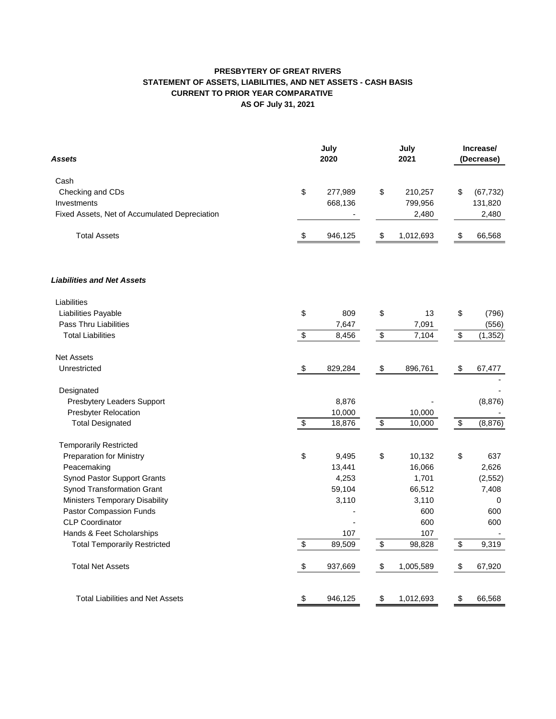### **PRESBYTERY OF GREAT RIVERS STATEMENT OF ASSETS, LIABILITIES, AND NET ASSETS - CASH BASIS AS OF July 31, 2021 CURRENT TO PRIOR YEAR COMPARATIVE**

| Assets                                        |                           | July<br>2020 |                                           | July<br>2021 | Increase/<br>(Decrease)   |           |  |
|-----------------------------------------------|---------------------------|--------------|-------------------------------------------|--------------|---------------------------|-----------|--|
| Cash                                          |                           |              |                                           |              |                           |           |  |
| Checking and CDs                              | \$                        | 277,989      | \$                                        | 210,257      | \$                        | (67, 732) |  |
| Investments                                   |                           | 668,136      |                                           | 799,956      |                           | 131,820   |  |
| Fixed Assets, Net of Accumulated Depreciation |                           |              |                                           | 2,480        |                           | 2,480     |  |
| <b>Total Assets</b>                           | \$                        | 946,125      | \$                                        | 1,012,693    | \$                        | 66,568    |  |
| <b>Liabilities and Net Assets</b>             |                           |              |                                           |              |                           |           |  |
| Liabilities                                   |                           |              |                                           |              |                           |           |  |
| Liabilities Payable                           | \$                        | 809          | \$                                        | 13           | \$                        | (796)     |  |
| Pass Thru Liabilities                         |                           | 7,647        |                                           | 7,091        |                           | (556)     |  |
| <b>Total Liabilities</b>                      | \$                        | 8,456        | \$                                        | 7,104        | \$                        | (1, 352)  |  |
| <b>Net Assets</b>                             |                           |              |                                           |              |                           |           |  |
| Unrestricted                                  | $\boldsymbol{\mathsf{S}}$ | 829,284      | \$                                        | 896,761      | \$                        | 67,477    |  |
| Designated                                    |                           |              |                                           |              |                           |           |  |
| Presbytery Leaders Support                    |                           | 8,876        |                                           |              |                           | (8,876)   |  |
| <b>Presbyter Relocation</b>                   |                           | 10,000       |                                           | 10,000       |                           |           |  |
| <b>Total Designated</b>                       | \$                        | 18,876       | $\, \, \raisebox{12pt}{$\scriptstyle \$}$ | 10,000       | \$                        | (8,876)   |  |
| <b>Temporarily Restricted</b>                 |                           |              |                                           |              |                           |           |  |
| <b>Preparation for Ministry</b>               | \$                        | 9,495        | \$                                        | 10,132       | \$                        | 637       |  |
| Peacemaking                                   |                           | 13,441       |                                           | 16,066       |                           | 2,626     |  |
| Synod Pastor Support Grants                   |                           | 4,253        |                                           | 1,701        |                           | (2, 552)  |  |
| Synod Transformation Grant                    |                           | 59,104       |                                           | 66,512       |                           | 7,408     |  |
| <b>Ministers Temporary Disability</b>         |                           | 3,110        |                                           | 3,110        |                           | 0         |  |
| Pastor Compassion Funds                       |                           |              |                                           | 600          |                           | 600       |  |
| <b>CLP Coordinator</b>                        |                           |              |                                           | 600          |                           | 600       |  |
| Hands & Feet Scholarships                     |                           | 107          |                                           | 107          |                           |           |  |
| <b>Total Temporarily Restricted</b>           | \$                        | 89,509       | \$                                        | 98,828       | \$                        | 9,319     |  |
| <b>Total Net Assets</b>                       | $\boldsymbol{\mathsf{S}}$ | 937,669      | $\,$                                      | 1,005,589    | $\boldsymbol{\mathsf{S}}$ | 67,920    |  |
| <b>Total Liabilities and Net Assets</b>       | \$                        | 946,125      | \$                                        | 1,012,693    | \$                        | 66,568    |  |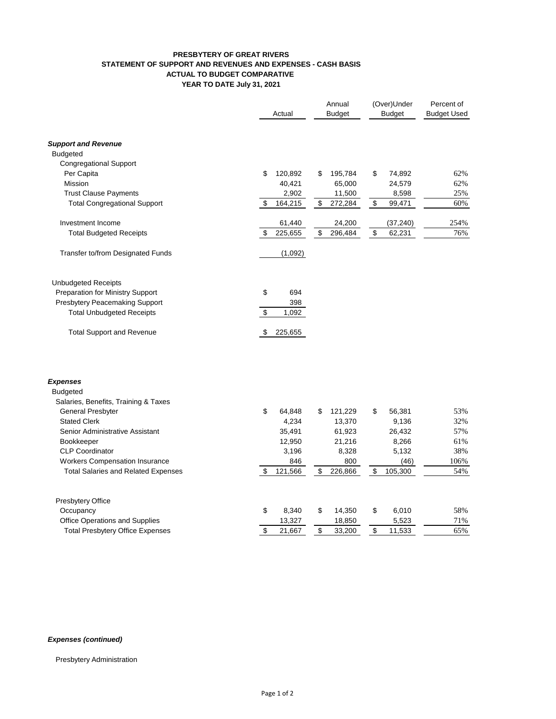#### **PRESBYTERY OF GREAT RIVERS STATEMENT OF SUPPORT AND REVENUES AND EXPENSES - CASH BASIS ACTUAL TO BUDGET COMPARATIVE YEAR TO DATE July 31, 2021**

|                                            |               | Annual        | (Over)Under   | Percent of         |
|--------------------------------------------|---------------|---------------|---------------|--------------------|
|                                            | Actual        | <b>Budget</b> | <b>Budget</b> | <b>Budget Used</b> |
| <b>Support and Revenue</b>                 |               |               |               |                    |
| <b>Budgeted</b>                            |               |               |               |                    |
| <b>Congregational Support</b>              |               |               |               |                    |
| Per Capita                                 | \$<br>120,892 | 195,784<br>\$ | \$<br>74,892  | 62%                |
| Mission                                    | 40,421        | 65,000        | 24,579        | 62%                |
| <b>Trust Clause Payments</b>               | 2,902         | 11,500        | 8,598         | 25%                |
| <b>Total Congregational Support</b>        | \$<br>164,215 | 272,284<br>\$ | \$<br>99,471  | 60%                |
| Investment Income                          | 61,440        | 24,200        | (37, 240)     | 254%               |
| <b>Total Budgeted Receipts</b>             | \$<br>225,655 | \$<br>296,484 | \$<br>62,231  | 76%                |
| Transfer to/from Designated Funds          | (1,092)       |               |               |                    |
| <b>Unbudgeted Receipts</b>                 |               |               |               |                    |
| Preparation for Ministry Support           | \$<br>694     |               |               |                    |
| Presbytery Peacemaking Support             | 398           |               |               |                    |
| <b>Total Unbudgeted Receipts</b>           | \$<br>1,092   |               |               |                    |
| <b>Total Support and Revenue</b>           | \$<br>225,655 |               |               |                    |
| <b>Expenses</b>                            |               |               |               |                    |
| <b>Budgeted</b>                            |               |               |               |                    |
| Salaries, Benefits, Training & Taxes       |               |               |               |                    |
| General Presbyter                          | \$<br>64,848  | \$<br>121,229 | \$<br>56,381  | 53%                |
| <b>Stated Clerk</b>                        | 4,234         | 13,370        | 9,136         | 32%                |
| Senior Administrative Assistant            | 35,491        | 61,923        | 26,432        | 57%                |
| <b>Bookkeeper</b>                          | 12,950        | 21,216        | 8,266         | 61%                |
| <b>CLP Coordinator</b>                     | 3,196         | 8,328         | 5,132         | 38%                |
| <b>Workers Compensation Insurance</b>      | 846           | 800           | (46)          | 106%               |
| <b>Total Salaries and Related Expenses</b> | \$<br>121,566 | \$<br>226,866 | \$<br>105,300 | 54%                |
| Presbytery Office                          |               |               |               |                    |
| Occupancy                                  | \$<br>8,340   | \$<br>14,350  | \$<br>6,010   | 58%                |
| Office Operations and Supplies             | 13,327        | 18,850        | 5,523         | 71%                |

#### *Expenses (continued)*

Presbytery Administration

Total Presbytery Office Expenses \$ 21,667 \$ 33,200 \$ 11,533 65%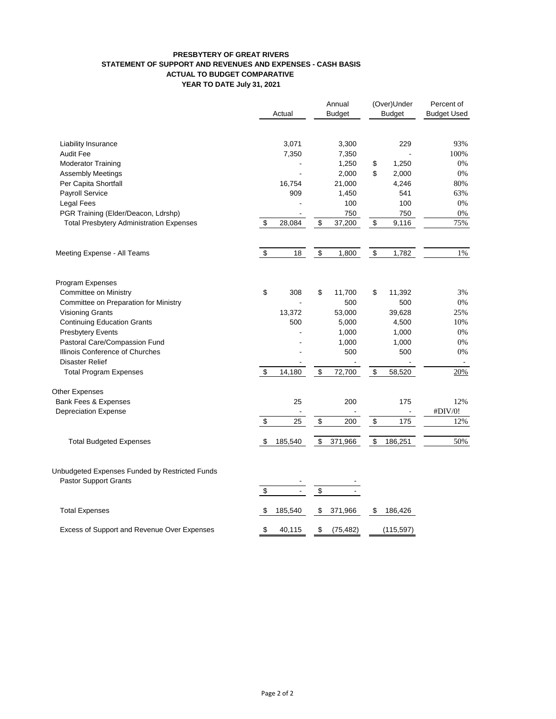#### **PRESBYTERY OF GREAT RIVERS STATEMENT OF SUPPORT AND REVENUES AND EXPENSES - CASH BASIS ACTUAL TO BUDGET COMPARATIVE YEAR TO DATE July 31, 2021**

|                                                                         |                         | Actual        |                         | Annual<br><b>Budget</b> |          | (Over)Under<br>Budget | Percent of<br><b>Budget Used</b> |
|-------------------------------------------------------------------------|-------------------------|---------------|-------------------------|-------------------------|----------|-----------------------|----------------------------------|
|                                                                         |                         |               |                         |                         |          |                       |                                  |
| <b>Liability Insurance</b>                                              |                         | 3,071         |                         | 3,300                   |          | 229                   | 93%                              |
| <b>Audit Fee</b>                                                        |                         | 7,350         |                         | 7,350                   |          |                       | 100%                             |
| <b>Moderator Training</b>                                               |                         |               |                         | 1,250                   | \$<br>\$ | 1,250                 | 0%                               |
| <b>Assembly Meetings</b>                                                |                         |               |                         | 2,000                   |          | 2,000                 | 0%                               |
| Per Capita Shortfall                                                    |                         | 16,754<br>909 |                         | 21,000                  |          | 4,246<br>541          | 80%<br>63%                       |
| Payroll Service                                                         |                         |               |                         | 1,450                   |          | 100                   | 0%                               |
| Legal Fees<br>PGR Training (Elder/Deacon, Ldrshp)                       |                         |               |                         | 100<br>750              |          | 750                   | 0%                               |
| <b>Total Presbytery Administration Expenses</b>                         | \$                      | 28,084        | \$                      | 37,200                  | \$       | 9,116                 | 75%                              |
|                                                                         |                         |               |                         |                         |          |                       |                                  |
| Meeting Expense - All Teams                                             | $\pmb{\$}$              | 18            | \$                      | 1,800                   | \$       | 1,782                 | 1%                               |
| Program Expenses                                                        |                         |               |                         |                         |          |                       |                                  |
| Committee on Ministry                                                   | \$                      | 308           | \$                      | 11,700                  | \$       | 11,392                | 3%                               |
| Committee on Preparation for Ministry                                   |                         |               |                         | 500                     |          | 500                   | 0%                               |
| <b>Visioning Grants</b>                                                 |                         | 13,372        |                         | 53,000                  |          | 39,628                | 25%                              |
| <b>Continuing Education Grants</b>                                      |                         | 500           |                         | 5,000                   |          | 4,500                 | 10%                              |
| <b>Presbytery Events</b>                                                |                         |               |                         | 1,000                   |          | 1,000                 | 0%                               |
| Pastoral Care/Compassion Fund                                           |                         |               |                         | 1,000                   |          | 1,000                 | 0%                               |
| Illinois Conference of Churches                                         |                         |               |                         | 500                     |          | 500                   | 0%                               |
| <b>Disaster Relief</b>                                                  |                         |               |                         |                         |          |                       |                                  |
| <b>Total Program Expenses</b>                                           | \$                      | 14,180        | \$                      | 72,700                  | \$       | 58,520                | 20%                              |
| Other Expenses                                                          |                         |               |                         |                         |          |                       |                                  |
| Bank Fees & Expenses                                                    |                         | 25            |                         | 200                     |          | 175                   | 12%                              |
| <b>Depreciation Expense</b>                                             |                         |               |                         |                         |          |                       | #DIV/0!                          |
|                                                                         | $\pmb{\$}$              | 25            | \$                      | 200                     | \$       | 175                   | 12%                              |
| <b>Total Budgeted Expenses</b>                                          | \$                      | 185,540       | \$                      | 371,966                 | \$       | 186,251               | 50%                              |
| Unbudgeted Expenses Funded by Restricted Funds<br>Pastor Support Grants | $\overline{\mathbf{S}}$ |               | $\overline{\mathbf{S}}$ |                         |          |                       |                                  |
| <b>Total Expenses</b>                                                   | \$                      | 185,540       | \$                      | 371,966                 | \$       | 186,426               |                                  |
| Excess of Support and Revenue Over Expenses                             | \$                      | 40,115        | \$                      | (75, 482)               |          | (115, 597)            |                                  |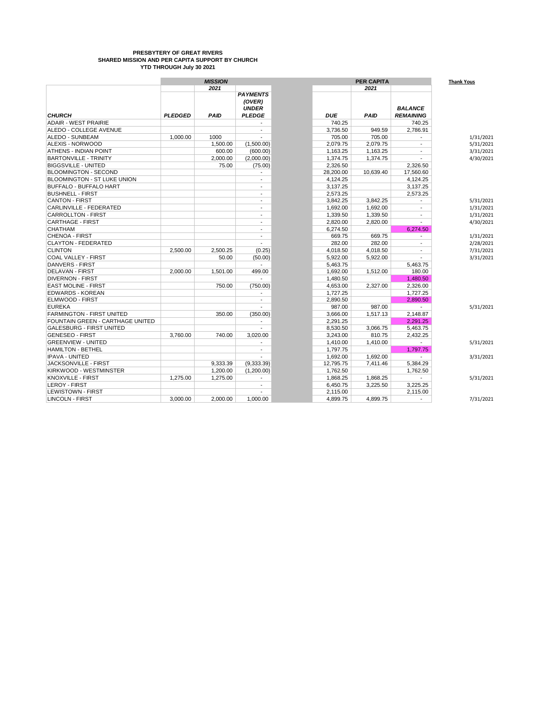#### **PRESBYTERY OF GREAT RIVERS SHARED MISSION AND PER CAPITA SUPPORT BY CHURCH YTD THROUGH July 30 2021**

|                                    | <b>MISSION</b> |             |                                           | <b>PER CAPITA</b> |             |                          |  |  |  |
|------------------------------------|----------------|-------------|-------------------------------------------|-------------------|-------------|--------------------------|--|--|--|
|                                    |                | 2021        |                                           |                   | 2021        |                          |  |  |  |
| <b>CHURCH</b>                      |                |             | <b>PAYMENTS</b><br>(OVER)<br><b>UNDER</b> |                   |             | <b>BALANCE</b>           |  |  |  |
|                                    | <b>PLEDGED</b> | <b>PAID</b> | <b>PLEDGE</b>                             | <b>DUE</b>        | <b>PAID</b> | <b>REMAINING</b>         |  |  |  |
| <b>ADAIR - WEST PRAIRIE</b>        |                |             |                                           | 740.25            |             | 740.25                   |  |  |  |
| ALEDO - COLLEGE AVENUE             |                |             |                                           | 3.736.50          | 949.59      | 2.786.91                 |  |  |  |
| ALEDO - SUNBEAM                    | 1.000.00       | 1000        | $\overline{a}$                            | 705.00            | 705.00      |                          |  |  |  |
| ALEXIS - NORWOOD                   |                | 1,500.00    | (1,500.00)                                | 2,079.75          | 2,079.75    |                          |  |  |  |
| <b>ATHENS - INDIAN POINT</b>       |                | 600.00      | (600.00)                                  | 1,163.25          | 1,163.25    |                          |  |  |  |
| <b>BARTONVILLE - TRINITY</b>       |                | 2.000.00    | (2,000.00)                                | 1.374.75          | 1.374.75    | $\overline{a}$           |  |  |  |
| <b>BIGGSVILLE - UNITED</b>         |                | 75.00       | (75.00)                                   | 2.326.50          |             | 2.326.50                 |  |  |  |
| <b>BLOOMINGTON - SECOND</b>        |                |             | $\blacksquare$                            | 28,200.00         | 10,639.40   | 17,560.60                |  |  |  |
| <b>BLOOMINGTON - ST LUKE UNION</b> |                |             | $\blacksquare$                            | 4,124.25          |             | 4,124.25                 |  |  |  |
| <b>BUFFALO - BUFFALO HART</b>      |                |             |                                           | 3.137.25          |             | 3,137.25                 |  |  |  |
| <b>BUSHNELL - FIRST</b>            |                |             | $\overline{\phantom{a}}$                  | 2.573.25          |             | 2.573.25                 |  |  |  |
| <b>CANTON - FIRST</b>              |                |             |                                           | 3,842.25          | 3.842.25    |                          |  |  |  |
| CARLINVILLE - FEDERATED            |                |             |                                           | 1,692.00          | 1,692.00    |                          |  |  |  |
| <b>CARROLLTON - FIRST</b>          |                |             | $\overline{a}$                            | 1.339.50          | 1.339.50    | $\overline{\phantom{a}}$ |  |  |  |
| <b>CARTHAGE - FIRST</b>            |                |             | $\overline{\phantom{a}}$                  | 2,820.00          | 2,820.00    |                          |  |  |  |
| <b>CHATHAM</b>                     |                |             |                                           | 6.274.50          |             | 6.274.50                 |  |  |  |
| <b>CHENOA - FIRST</b>              |                |             | $\overline{\phantom{a}}$                  | 669.75            | 669.75      | $\overline{\phantom{a}}$ |  |  |  |
| <b>CLAYTON - FEDERATED</b>         |                |             |                                           | 282.00            | 282.00      |                          |  |  |  |
| <b>CLINTON</b>                     | 2.500.00       | 2.500.25    | (0.25)                                    | 4.018.50          | 4.018.50    | $\overline{a}$           |  |  |  |
| <b>COAL VALLEY - FIRST</b>         |                | 50.00       | (50.00)                                   | 5.922.00          | 5,922.00    |                          |  |  |  |
| <b>DANVERS - FIRST</b>             |                |             | ÷                                         | 5,463.75          |             | 5,463.75                 |  |  |  |
| <b>DELAVAN - FIRST</b>             | 2.000.00       | 1,501.00    | 499.00                                    | 1,692.00          | 1,512.00    | 180.00                   |  |  |  |
| <b>DIVERNON - FIRST</b>            |                |             | $\overline{a}$                            | 1.480.50          |             | 1.480.50                 |  |  |  |
| <b>EAST MOLINE - FIRST</b>         |                | 750.00      | (750.00)                                  | 4.653.00          | 2,327.00    | 2.326.00                 |  |  |  |
| <b>EDWARDS - KOREAN</b>            |                |             |                                           | 1.727.25          |             | 1,727.25                 |  |  |  |
| <b>ELMWOOD - FIRST</b>             |                |             | $\overline{\phantom{a}}$                  | 2,890.50          |             | 2,890.50                 |  |  |  |
| <b>EUREKA</b>                      |                |             | $\overline{a}$                            | 987.00            | 987.00      | $\overline{\phantom{a}}$ |  |  |  |
| <b>FARMINGTON - FIRST UNITED</b>   |                | 350.00      | (350.00)                                  | 3.666.00          | 1.517.13    | 2,148.87                 |  |  |  |
| FOUNTAIN GREEN - CARTHAGE UNITED   |                |             | $\overline{a}$                            | 2.291.25          |             | 2.291.25                 |  |  |  |
| <b>GALESBURG - FIRST UNITED</b>    |                |             | $\blacksquare$                            | 8,530.50          | 3,066.75    | 5,463.75                 |  |  |  |
| <b>GENESEO - FIRST</b>             | 3.760.00       | 740.00      | 3,020.00                                  | 3,243.00          | 810.75      | 2,432.25                 |  |  |  |
| <b>GREENVIEW - UNITED</b>          |                |             |                                           | 1.410.00          | 1.410.00    |                          |  |  |  |
| <b>HAMILTON - BETHEL</b>           |                |             | $\overline{a}$                            | 1.797.75          |             | 1.797.75                 |  |  |  |
| <b>IPAVA - UNITED</b>              |                |             |                                           | 1,692.00          | 1,692.00    | $\blacksquare$           |  |  |  |
| JACKSONVILLE - FIRST               |                | 9,333.39    | (9,333.39)                                | 12,795.75         | 7.411.46    | 5,384.29                 |  |  |  |
| KIRKWOOD - WESTMINSTER             |                | 1.200.00    | (1,200.00)                                | 1.762.50          |             | 1.762.50                 |  |  |  |
| <b>KNOXVILLE - FIRST</b>           | 1.275.00       | 1,275.00    |                                           | 1,868.25          | 1,868.25    |                          |  |  |  |
| <b>LEROY - FIRST</b>               |                |             | $\overline{a}$                            | 6,450.75          | 3,225.50    | 3,225.25                 |  |  |  |
| <b>LEWISTOWN - FIRST</b>           |                |             | $\overline{\phantom{a}}$                  | 2,115.00          |             | 2,115.00                 |  |  |  |
| <b>LINCOLN - FIRST</b>             | 3,000.00       | 2,000.00    | 1,000.00                                  | 4,899.75          | 4,899.75    | $\overline{a}$           |  |  |  |
|                                    |                |             |                                           |                   |             |                          |  |  |  |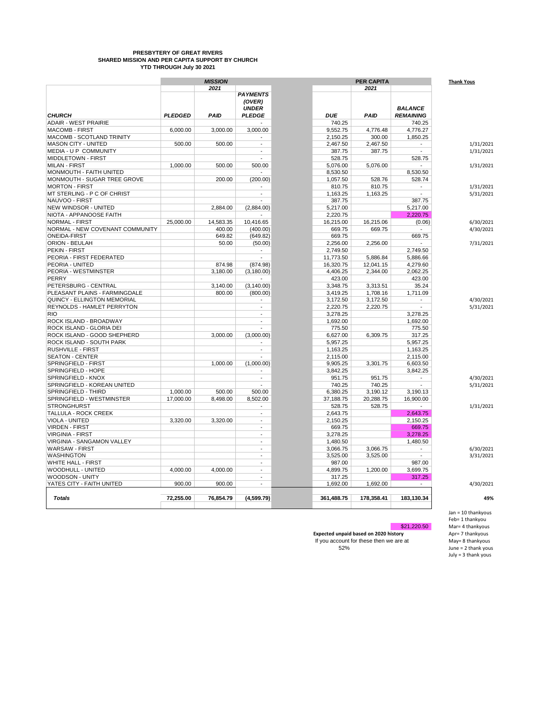#### **PRESBYTERY OF GREAT RIVERS SHARED MISSION AND PER CAPITA SUPPORT BY CHURCH YTD THROUGH July 30 2021**

|                                    | <b>MISSION</b> |             |                               | PER CAPITA |            |             |                                    |  |
|------------------------------------|----------------|-------------|-------------------------------|------------|------------|-------------|------------------------------------|--|
|                                    |                | 2021        | <b>PAYMENTS</b><br>(OVER)     |            |            | 2021        |                                    |  |
| <b>CHURCH</b>                      | <b>PLEDGED</b> | <b>PAID</b> | <b>UNDER</b><br><b>PLEDGE</b> |            | <b>DUE</b> | <b>PAID</b> | <b>BALANCE</b><br><b>REMAINING</b> |  |
| <b>ADAIR - WEST PRAIRIE</b>        |                |             |                               |            | 740.25     |             | 740.25                             |  |
| <b>MACOMB - FIRST</b>              | 6.000.00       | 3.000.00    | 3.000.00                      |            | 9,552.75   | 4,776.48    | 4.776.27                           |  |
| <b>MACOMB - SCOTLAND TRINITY</b>   |                |             | $\overline{\phantom{a}}$      |            | 2,150.25   | 300.00      | 1,850.25                           |  |
| <b>MASON CITY - UNITED</b>         | 500.00         | 500.00      | $\overline{a}$                |            | 2,467.50   | 2,467.50    |                                    |  |
| MEDIA - U P COMMUNITY              |                |             | $\overline{a}$                |            | 387.75     | 387.75      | $\overline{\phantom{a}}$           |  |
| MIDDLETOWN - FIRST                 |                |             |                               |            | 528.75     |             | 528.75                             |  |
| <b>MILAN - FIRST</b>               | 1,000.00       | 500.00      | 500.00                        |            | 5,076.00   | 5,076.00    |                                    |  |
| MONMOUTH - FAITH UNITED            |                |             | $\overline{a}$                |            | 8,530.50   |             | 8,530.50                           |  |
| MONMOUTH - SUGAR TREE GROVE        |                | 200.00      | (200.00)                      |            | 1,057.50   | 528.76      | 528.74                             |  |
| <b>MORTON - FIRST</b>              |                |             |                               |            | 810.75     | 810.75      |                                    |  |
| MT STERLING - P C OF CHRIST        |                |             | $\overline{a}$                |            | 1,163.25   | 1,163.25    |                                    |  |
| NAUVOO - FIRST                     |                |             |                               |            | 387.75     |             | 387.75                             |  |
| NEW WINDSOR - UNITED               |                | 2.884.00    | (2,884.00)                    |            | 5,217.00   |             | 5,217.00                           |  |
| NIOTA - APPANOOSE FAITH            |                |             |                               |            | 2,220.75   |             | 2,220.75                           |  |
| <b>NORMAL - FIRST</b>              | 25,000.00      | 14,583.35   | 10,416.65                     |            | 16,215.00  | 16,215.06   | (0.06)                             |  |
| NORMAL - NEW COVENANT COMMUNITY    |                | 400.00      | (400.00)                      |            | 669.75     | 669.75      | $\overline{a}$                     |  |
| <b>ONEIDA-FIRST</b>                |                | 649.82      | (649.82)                      |            | 669.75     |             | 669.75                             |  |
| ORION - BEULAH                     |                | 50.00       | (50.00)                       |            | 2,256.00   | 2,256.00    |                                    |  |
| <b>PEKIN - FIRST</b>               |                |             | $\overline{\phantom{a}}$      |            | 2,749.50   |             | 2,749.50                           |  |
| PEORIA - FIRST FEDERATED           |                |             |                               |            | 11,773.50  | 5,886.84    | 5,886.66                           |  |
| PEORIA - UNITED                    |                | 874.98      | (874.98)                      |            | 16,320.75  | 12,041.15   | 4,279.60                           |  |
| PEORIA - WESTMINSTER               |                | 3,180.00    | (3, 180.00)                   |            | 4,406.25   | 2,344.00    | 2.062.25                           |  |
| PERRY                              |                |             |                               |            | 423.00     |             | 423.00                             |  |
| PETERSBURG - CENTRAL               |                | 3,140.00    | (3, 140.00)                   |            | 3,348.75   | 3,313.51    | 35.24                              |  |
| PLEASANT PLAINS - FARMINGDALE      |                | 800.00      | (800.00)                      |            | 3,419.25   | 1,708.16    | 1,711.09                           |  |
| <b>QUINCY - ELLINGTON MEMORIAL</b> |                |             |                               |            | 3,172.50   | 3,172.50    |                                    |  |
| <b>REYNOLDS - HAMLET PERRYTON</b>  |                |             | $\overline{a}$                |            | 2.220.75   | 2,220.75    |                                    |  |
| <b>RIO</b>                         |                |             | $\overline{a}$                |            | 3,278.25   |             | 3,278.25                           |  |
| ROCK ISLAND - BROADWAY             |                |             | $\overline{\phantom{a}}$      |            | 1,692.00   |             | 1,692.00                           |  |
| ROCK ISLAND - GLORIA DEI           |                |             |                               |            | 775.50     |             | 775.50                             |  |
| ROCK ISLAND - GOOD SHEPHERD        |                | 3,000.00    | (3,000.00)                    |            | 6,627.00   | 6,309.75    | 317.25                             |  |
| ROCK ISLAND - SOUTH PARK           |                |             |                               |            | 5,957.25   |             | 5,957.25                           |  |
| <b>RUSHVILLE - FIRST</b>           |                |             | $\overline{a}$                |            | 1,163.25   |             | 1,163.25                           |  |
| <b>SEATON - CENTER</b>             |                |             |                               |            | 2,115.00   |             | 2,115.00                           |  |
| SPRINGFIELD - FIRST                |                | 1,000.00    | (1,000.00)                    |            | 9,905.25   | 3,301.75    | 6,603.50                           |  |
| SPRINGFIELD - HOPE                 |                |             |                               |            | 3,842.25   |             | 3,842.25                           |  |
| SPRINGFIELD - KNOX                 |                |             | $\overline{\phantom{a}}$      |            | 951.75     | 951.75      | $\overline{\phantom{a}}$           |  |
| SPRINGFIELD - KOREAN UNITED        |                |             |                               |            | 740.25     | 740.25      |                                    |  |
| SPRINGFIELD - THIRD                | 1,000.00       | 500.00      | 500.00                        |            | 6,380.25   | 3,190.12    | 3,190.13                           |  |
| SPRINGFIELD - WESTMINSTER          | 17,000.00      | 8,498.00    | 8,502.00                      |            | 37,188.75  | 20,288.75   | 16,900.00                          |  |
| <b>STRONGHURST</b>                 |                |             | $\overline{\phantom{a}}$      |            | 528.75     | 528.75      | $\overline{\phantom{a}}$           |  |
| TALLULA - ROCK CREEK               |                |             | $\overline{a}$                |            | 2,643.75   |             | 2.643.75                           |  |
| <b>VIOLA - UNITED</b>              | 3,320.00       | 3,320.00    | $\overline{a}$                |            | 2,150.25   |             | 2,150.25                           |  |
| <b>VIRDEN - FIRST</b>              |                |             | $\overline{a}$                |            | 669.75     |             | 669.75                             |  |
| <b>VIRGINIA - FIRST</b>            |                |             | $\overline{a}$                |            | 3,278.25   |             | 3,278.25                           |  |
| VIRGINIA - SANGAMON VALLEY         |                |             | $\overline{a}$                |            | 1,480.50   |             | 1,480.50                           |  |
| <b>WARSAW - FIRST</b>              |                |             | $\overline{a}$                |            | 3.066.75   | 3,066.75    | $\overline{\phantom{a}}$           |  |
| <b>WASHINGTON</b>                  |                |             | $\overline{a}$                |            | 3,525.00   | 3,525.00    |                                    |  |
| <b>WHITE HALL - FIRST</b>          |                |             | $\overline{a}$                |            | 987.00     |             | 987.00                             |  |
| WOODHULL - UNITED                  | 4,000.00       | 4,000.00    | $\overline{a}$                |            | 4,899.75   | 1,200.00    | 3,699.75                           |  |
| WOODSON - UNITY                    |                |             | $\overline{\phantom{a}}$      |            | 317.25     |             | 317.25                             |  |
| YATES CITY - FAITH UNITED          | 900.00         | 900.00      | $\overline{a}$                |            | 1,692.00   | 1,692.00    |                                    |  |
|                                    |                |             |                               |            |            |             |                                    |  |
| Totals                             | 72,255.00      | 76,854.79   | (4,599.79)                    |            | 361,488.75 | 178,358.41  | 183,130.34                         |  |

 $$21,220.50$ 

**Expected unpaid based on 2020 history** If you account for these then we are at  $52\%$  $52\%$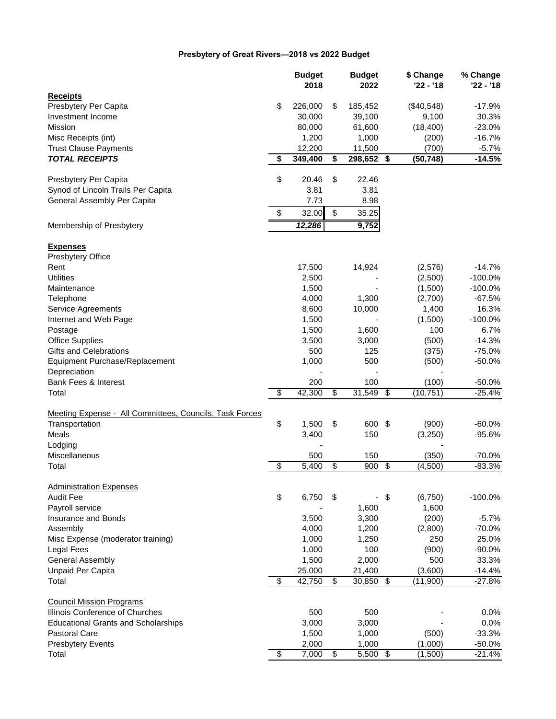# **Presbytery of Great Rivers—2018 vs 2022 Budget**

|                                                         |                          | <b>Budget</b><br>2018 | <b>Budget</b><br>2022 |                 | \$ Change<br>'22 - '18 | % Change<br>'22 - '18 |
|---------------------------------------------------------|--------------------------|-----------------------|-----------------------|-----------------|------------------------|-----------------------|
| <b>Receipts</b>                                         |                          |                       |                       |                 |                        |                       |
| Presbytery Per Capita                                   | \$                       | 226,000               | \$<br>185,452         |                 | (\$40,548)             | $-17.9%$              |
| Investment Income                                       |                          | 30,000                | 39,100                |                 | 9,100                  | 30.3%                 |
| Mission                                                 |                          | 80,000                | 61,600                |                 | (18, 400)              | $-23.0%$              |
| Misc Receipts (int)                                     |                          | 1,200                 | 1,000                 |                 | (200)                  | $-16.7%$              |
| <b>Trust Clause Payments</b>                            |                          | 12,200                | 11,500                |                 | (700)                  | $-5.7%$               |
| <b>TOTAL RECEIPTS</b>                                   | \$                       | 349,400               | \$<br>$298,652$ \$    |                 | (50, 748)              | $-14.5%$              |
|                                                         |                          |                       |                       |                 |                        |                       |
| Presbytery Per Capita                                   | \$                       | 20.46                 | \$<br>22.46           |                 |                        |                       |
| Synod of Lincoln Trails Per Capita                      |                          | 3.81                  | 3.81                  |                 |                        |                       |
| General Assembly Per Capita                             |                          | 7.73                  | 8.98                  |                 |                        |                       |
| Membership of Presbytery                                | \$                       | 32.00<br>12,286       | \$<br>35.25<br>9,752  |                 |                        |                       |
|                                                         |                          |                       |                       |                 |                        |                       |
| <b>Expenses</b>                                         |                          |                       |                       |                 |                        |                       |
| <b>Presbytery Office</b>                                |                          |                       |                       |                 |                        |                       |
| Rent                                                    |                          | 17,500                | 14,924                |                 | (2,576)                | $-14.7%$              |
| <b>Utilities</b>                                        |                          | 2,500                 |                       |                 | (2,500)                | $-100.0%$             |
| Maintenance                                             |                          | 1,500                 |                       |                 | (1,500)                | $-100.0%$             |
| Telephone                                               |                          | 4,000                 | 1,300                 |                 | (2,700)                | $-67.5%$              |
| <b>Service Agreements</b>                               |                          | 8,600                 | 10,000                |                 | 1,400                  | 16.3%                 |
| Internet and Web Page                                   |                          | 1,500                 |                       |                 | (1,500)                | $-100.0%$             |
| Postage                                                 |                          | 1,500                 | 1,600                 |                 | 100                    | 6.7%                  |
| <b>Office Supplies</b>                                  |                          | 3,500                 | 3,000                 |                 | (500)                  | $-14.3%$              |
| Gifts and Celebrations                                  |                          | 500                   | 125                   |                 | (375)                  | $-75.0%$              |
| Equipment Purchase/Replacement                          |                          | 1,000                 | 500                   |                 | (500)                  | $-50.0%$              |
| Depreciation                                            |                          |                       |                       |                 |                        |                       |
| Bank Fees & Interest                                    |                          | 200                   | 100                   |                 | (100)                  | $-50.0%$              |
| Total                                                   | $\overline{\mathcal{E}}$ | 42,300                | \$<br>31,549          | \$              | (10, 751)              | $-25.4%$              |
|                                                         |                          |                       |                       |                 |                        |                       |
| Meeting Expense - All Committees, Councils, Task Forces |                          |                       |                       |                 |                        |                       |
| Transportation                                          | \$                       | 1,500                 | \$<br>600 \$          |                 | (900)                  | $-60.0%$              |
| Meals                                                   |                          | 3,400                 | 150                   |                 | (3,250)                | $-95.6%$              |
| Lodging                                                 |                          |                       |                       |                 |                        |                       |
| Miscellaneous                                           |                          | 500                   | 150                   |                 | (350)                  | $-70.0%$              |
| Total                                                   | $\overline{\$}$          | 5,400                 | \$<br>900             | $\overline{\$}$ | (4,500)                | $-83.3%$              |
| <b>Administration Expenses</b>                          |                          |                       |                       |                 |                        |                       |
| Audit Fee                                               | \$                       | 6,750                 | \$                    | \$              | (6, 750)               | $-100.0\%$            |
| Payroll service                                         |                          |                       | 1,600                 |                 | 1,600                  |                       |
| Insurance and Bonds                                     |                          | 3,500                 | 3,300                 |                 | (200)                  | $-5.7%$               |
| Assembly                                                |                          | 4,000                 | 1,200                 |                 | (2,800)                | $-70.0%$              |
|                                                         |                          | 1,000                 | 1,250                 |                 | 250                    | 25.0%                 |
| Misc Expense (moderator training)                       |                          |                       | 100                   |                 |                        |                       |
| <b>Legal Fees</b>                                       |                          | 1,000                 |                       |                 | (900)                  | $-90.0%$              |
| <b>General Assembly</b>                                 |                          | 1,500                 | 2,000                 |                 | 500                    | 33.3%                 |
| <b>Unpaid Per Capita</b>                                |                          | 25,000                | 21,400                |                 | (3,600)                | $-14.4%$              |
| Total                                                   | \$                       | 42,750                | \$<br>30,850          | \$              | (11,900)               | $-27.8%$              |
| <b>Council Mission Programs</b>                         |                          |                       |                       |                 |                        |                       |
| Illinois Conference of Churches                         |                          | 500                   | 500                   |                 |                        | 0.0%                  |
| <b>Educational Grants and Scholarships</b>              |                          | 3,000                 | 3,000                 |                 |                        | 0.0%                  |
| <b>Pastoral Care</b>                                    |                          | 1,500                 | 1,000                 |                 | (500)                  | $-33.3%$              |
| <b>Presbytery Events</b>                                |                          | 2,000                 | 1,000                 |                 | (1,000)                | $-50.0%$              |
| Total                                                   | $\overline{\$}$          | 7,000                 | \$<br>$5,500$ \$      |                 | (1,500)                | $-21.4%$              |